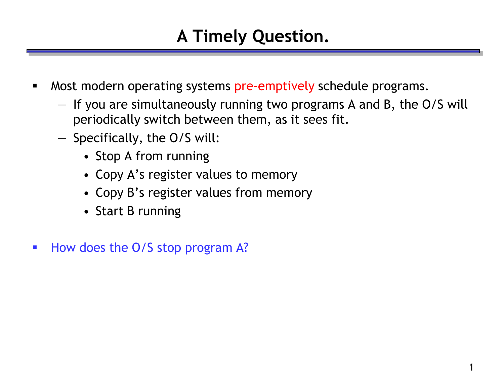## **A Timely Question.**

- Most modern operating systems pre-emptively schedule programs.
	- If you are simultaneously running two programs A and B, the O/S will periodically switch between them, as it sees fit.
	- Specifically, the O/S will:
		- Stop A from running
		- Copy A's register values to memory
		- Copy B's register values from memory
		- Start B running
- How does the O/S stop program A?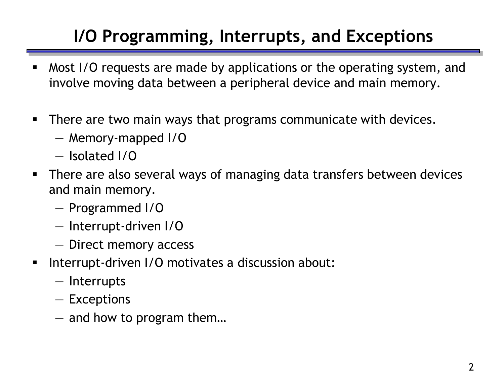## **I/O Programming, Interrupts, and Exceptions**

- Most I/O requests are made by applications or the operating system, and involve moving data between a peripheral device and main memory.
- **There are two main ways that programs communicate with devices.** 
	- Memory-mapped I/O
	- Isolated I/O
- **There are also several ways of managing data transfers between devices** and main memory.
	- Programmed I/O
	- Interrupt-driven I/O
	- Direct memory access
- Interrupt-driven I/O motivates a discussion about:
	- Interrupts
	- Exceptions
	- and how to program them…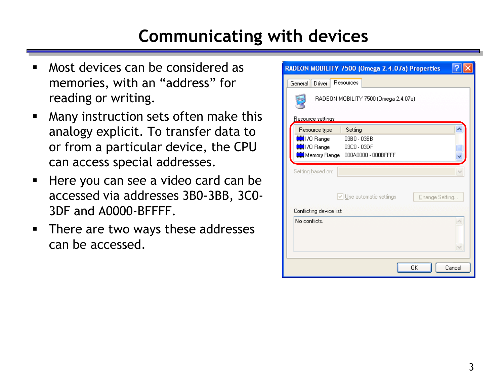#### **Communicating with devices**

- Most devices can be considered as memories, with an "address" for reading or writing.
- **Many instruction sets often make this** analogy explicit. To transfer data to or from a particular device, the CPU can access special addresses.
- Here you can see a video card can be accessed via addresses 3B0-3BB, 3C0- 3DF and A0000-BFFFF.
- **There are two ways these addresses** can be accessed.

| RADEON MOBILITY 7500 (Omega 2.4.07a) Properties                                                      |
|------------------------------------------------------------------------------------------------------|
| Resources<br>General<br>Driver                                                                       |
| RADEON MOBILITY 7500 (Omega 2.4.07a)                                                                 |
| Resource settings:                                                                                   |
| Resource type<br>Setting                                                                             |
| I/O Range<br>03B0 - 03BB<br>I/O Range<br>03C0 - 03DF<br><b>)</b> Memory Range<br>000A0000 - 000BFFFF |
| Setting based on:                                                                                    |
| $\vee$ Use automatic settings<br>Change Setting                                                      |
| Conflicting device list:                                                                             |
| No conflicts.                                                                                        |
| OK<br>Cancel                                                                                         |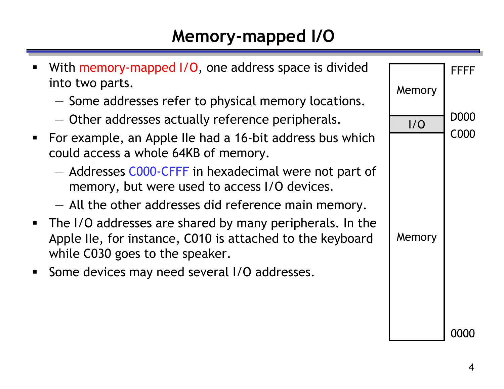## **Memory-mapped I/O**

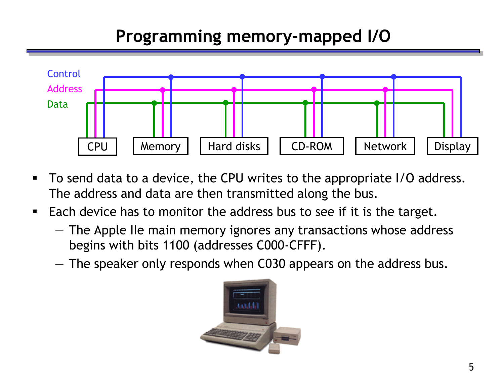## **Programming memory-mapped I/O**



- To send data to a device, the CPU writes to the appropriate I/O address. The address and data are then transmitted along the bus.
- **Each device has to monitor the address bus to see if it is the target.** 
	- The Apple IIe main memory ignores any transactions whose address begins with bits 1100 (addresses C000-CFFF).
	- The speaker only responds when C030 appears on the address bus.

![](_page_4_Picture_6.jpeg)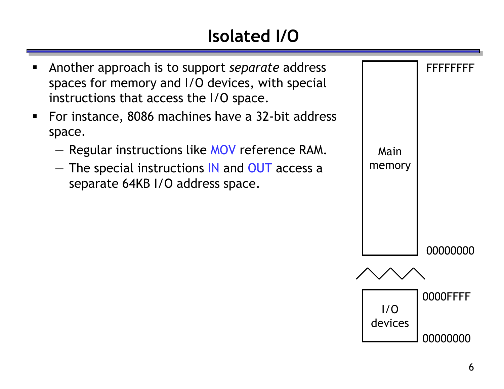# **Isolated I/O**

![](_page_5_Figure_1.jpeg)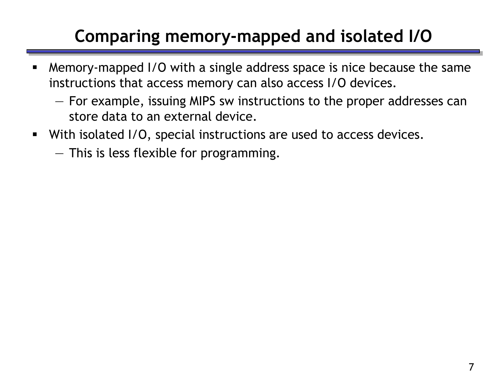## **Comparing memory-mapped and isolated I/O**

- Memory-mapped I/O with a single address space is nice because the same instructions that access memory can also access I/O devices.
	- For example, issuing MIPS sw instructions to the proper addresses can store data to an external device.
- With isolated I/O, special instructions are used to access devices.
	- This is less flexible for programming.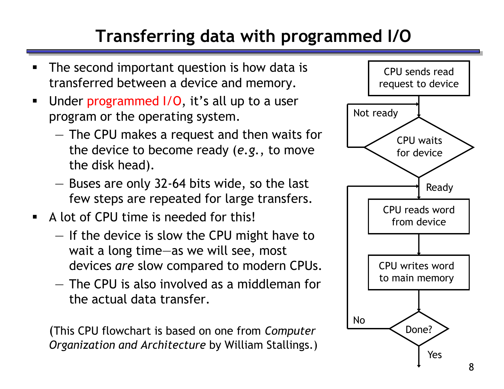## **Transferring data with programmed I/O**

- The second important question is how data is transferred between a device and memory.
- **Under programmed I/O, it's all up to a user** program or the operating system.
	- The CPU makes a request and then waits for the device to become ready (*e.g.*, to move the disk head).
	- Buses are only 32-64 bits wide, so the last few steps are repeated for large transfers.
- A lot of CPU time is needed for this!
	- If the device is slow the CPU might have to wait a long time—as we will see, most devices *are* slow compared to modern CPUs.
	- The CPU is also involved as a middleman for the actual data transfer.

(This CPU flowchart is based on one from *Computer Organization and Architecture* by William Stallings.)

![](_page_7_Figure_9.jpeg)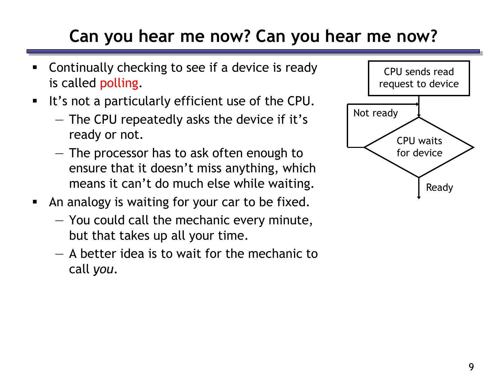## **Can you hear me now? Can you hear me now?**

- Continually checking to see if a device is ready is called polling.
- It's not a particularly efficient use of the CPU.
	- The CPU repeatedly asks the device if it's ready or not.
	- The processor has to ask often enough to ensure that it doesn't miss anything, which means it can't do much else while waiting.
- **An analogy is waiting for your car to be fixed.** 
	- You could call the mechanic every minute, but that takes up all your time.
	- A better idea is to wait for the mechanic to call *you*.

![](_page_8_Figure_8.jpeg)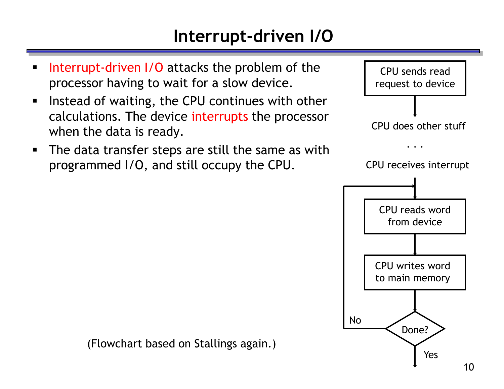#### **Interrupt-driven I/O**

- Interrupt-driven I/O attacks the problem of the processor having to wait for a slow device.
- **Instead of waiting, the CPU continues with other** calculations. The device interrupts the processor when the data is ready.
- **The data transfer steps are still the same as with** programmed I/O, and still occupy the CPU.

![](_page_9_Figure_4.jpeg)

(Flowchart based on Stallings again.)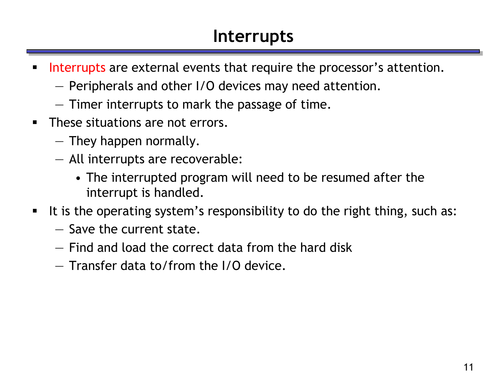#### **Interrupts**

- Interrupts are external events that require the processor's attention.
	- Peripherals and other I/O devices may need attention.
	- Timer interrupts to mark the passage of time.
- **These situations are not errors.** 
	- They happen normally.
	- All interrupts are recoverable:
		- The interrupted program will need to be resumed after the interrupt is handled.
- It is the operating system's responsibility to do the right thing, such as:
	- Save the current state.
	- Find and load the correct data from the hard disk
	- Transfer data to/from the I/O device.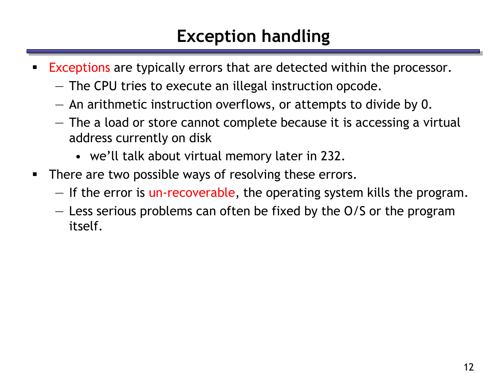#### **Exception handling**

- **Exceptions are typically errors that are detected within the processor.** 
	- The CPU tries to execute an illegal instruction opcode.
	- An arithmetic instruction overflows, or attempts to divide by 0.
	- The a load or store cannot complete because it is accessing a virtual address currently on disk
		- we'll talk about virtual memory later in 232.
- **There are two possible ways of resolving these errors.** 
	- If the error is un-recoverable, the operating system kills the program.
	- Less serious problems can often be fixed by the O/S or the program itself.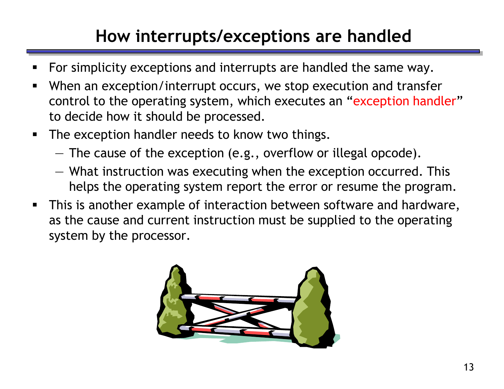## **How interrupts/exceptions are handled**

- For simplicity exceptions and interrupts are handled the same way.
- When an exception/interrupt occurs, we stop execution and transfer control to the operating system, which executes an "exception handler" to decide how it should be processed.
- **The exception handler needs to know two things.** 
	- The cause of the exception (e.g., overflow or illegal opcode).
	- What instruction was executing when the exception occurred. This helps the operating system report the error or resume the program.
- **This is another example of interaction between software and hardware,** as the cause and current instruction must be supplied to the operating system by the processor.

![](_page_12_Picture_7.jpeg)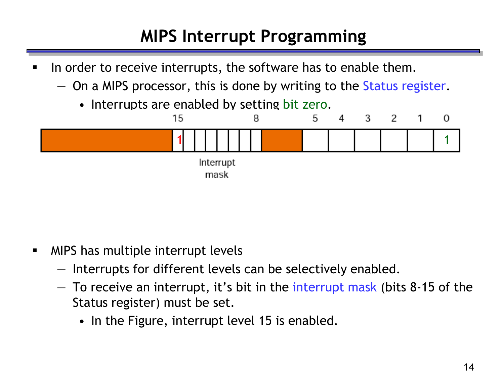## **MIPS Interrupt Programming**

- In order to receive interrupts, the software has to enable them.
	- On a MIPS processor, this is done by writing to the Status register.
		- Interrupts are enabled by setting bit zero.

![](_page_13_Figure_4.jpeg)

- **NIPS** has multiple interrupt levels
	- Interrupts for different levels can be selectively enabled.
	- To receive an interrupt, it's bit in the interrupt mask (bits 8-15 of the Status register) must be set.
		- In the Figure, interrupt level 15 is enabled.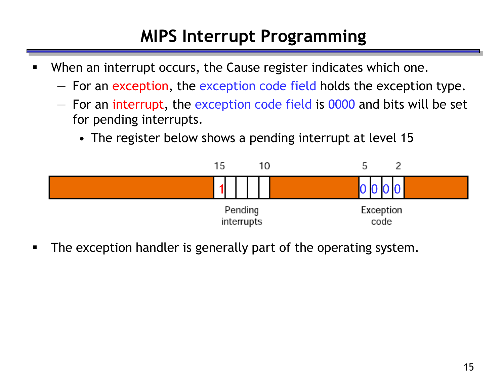## **MIPS Interrupt Programming**

- When an interrupt occurs, the Cause register indicates which one.
	- For an exception, the exception code field holds the exception type.
	- For an interrupt, the exception code field is 0000 and bits will be set for pending interrupts.
		- The register below shows a pending interrupt at level 15

![](_page_14_Figure_5.jpeg)

The exception handler is generally part of the operating system.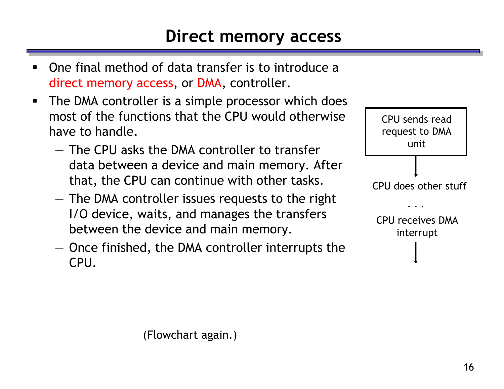- One final method of data transfer is to introduce a direct memory access, or DMA, controller.
- **The DMA controller is a simple processor which does** most of the functions that the CPU would otherwise have to handle.
	- The CPU asks the DMA controller to transfer data between a device and main memory. After that, the CPU can continue with other tasks.
	- The DMA controller issues requests to the right I/O device, waits, and manages the transfers between the device and main memory.
	- Once finished, the DMA controller interrupts the CPU.

![](_page_15_Figure_6.jpeg)

(Flowchart again.)